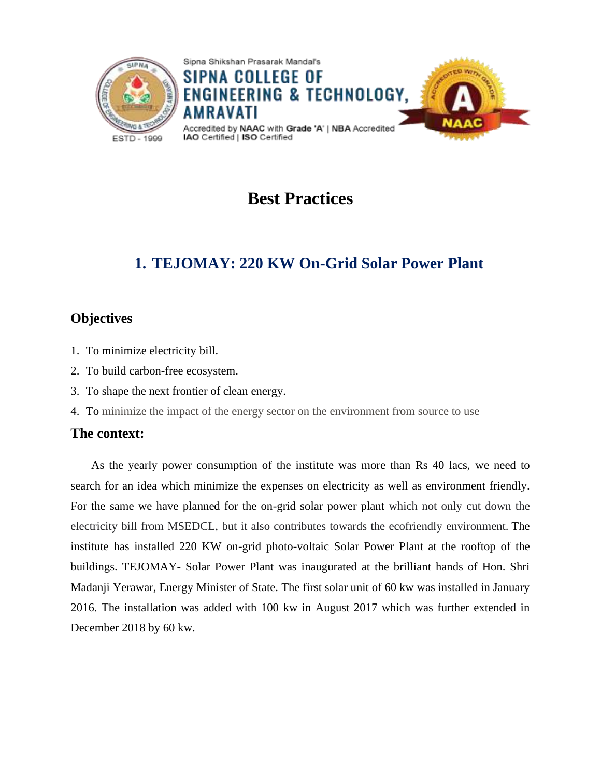

# **Best Practices**

# **1. TEJOMAY: 220 KW On-Grid Solar Power Plant**

## **Objectives**

- 1. To minimize electricity bill.
- 2. To build carbon-free ecosystem.
- 3. To shape the next frontier of clean energy.
- 4. To minimize the impact of the energy sector on the environment from source to use

### **The context:**

As the yearly power consumption of the institute was more than Rs 40 lacs, we need to search for an idea which minimize the expenses on electricity as well as environment friendly. For the same we have planned for the on-grid solar power plant which not only cut down the electricity bill from MSEDCL, but it also contributes towards the ecofriendly environment. The institute has installed 220 KW on-grid photo-voltaic Solar Power Plant at the rooftop of the buildings. TEJOMAY- Solar Power Plant was inaugurated at the brilliant hands of Hon. Shri Madanji Yerawar, Energy Minister of State. The first solar unit of 60 kw was installed in January 2016. The installation was added with 100 kw in August 2017 which was further extended in December 2018 by 60 kw.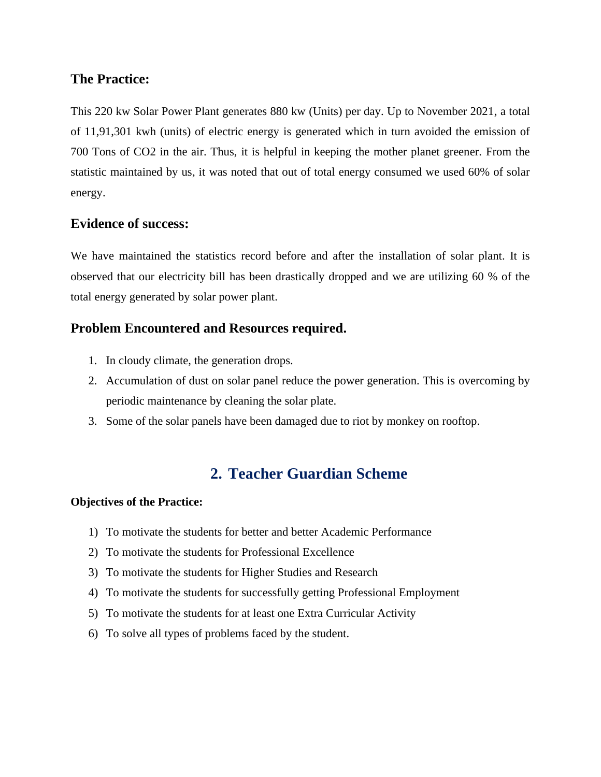### **The Practice:**

This 220 kw Solar Power Plant generates 880 kw (Units) per day. Up to November 2021, a total of 11,91,301 kwh (units) of electric energy is generated which in turn avoided the emission of 700 Tons of CO2 in the air. Thus, it is helpful in keeping the mother planet greener. From the statistic maintained by us, it was noted that out of total energy consumed we used 60% of solar energy.

## **Evidence of success:**

We have maintained the statistics record before and after the installation of solar plant. It is observed that our electricity bill has been drastically dropped and we are utilizing 60 % of the total energy generated by solar power plant.

## **Problem Encountered and Resources required.**

- 1. In cloudy climate, the generation drops.
- 2. Accumulation of dust on solar panel reduce the power generation. This is overcoming by periodic maintenance by cleaning the solar plate.
- 3. Some of the solar panels have been damaged due to riot by monkey on rooftop.

## **2. Teacher Guardian Scheme**

### **Objectives of the Practice:**

- 1) To motivate the students for better and better Academic Performance
- 2) To motivate the students for Professional Excellence
- 3) To motivate the students for Higher Studies and Research
- 4) To motivate the students for successfully getting Professional Employment
- 5) To motivate the students for at least one Extra Curricular Activity
- 6) To solve all types of problems faced by the student.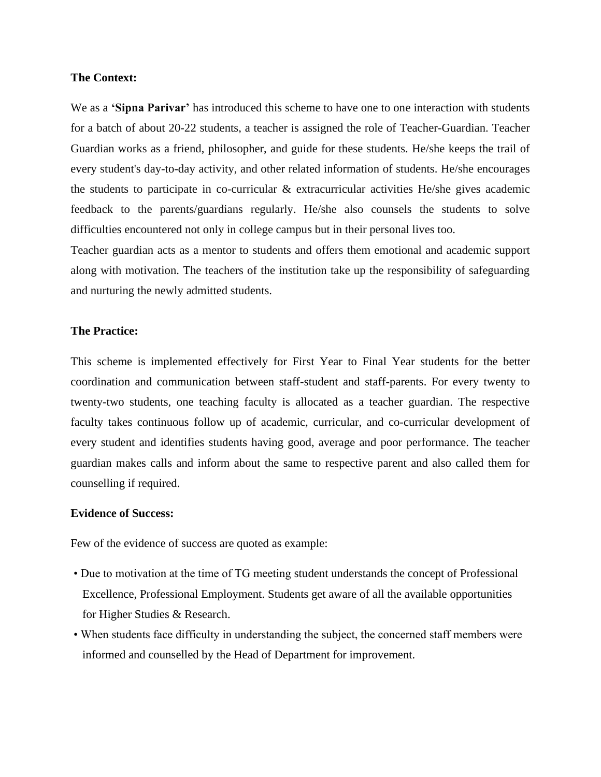### **The Context:**

We as a **'Sipna Parivar'** has introduced this scheme to have one to one interaction with students for a batch of about 20-22 students, a teacher is assigned the role of Teacher-Guardian. Teacher Guardian works as a friend, philosopher, and guide for these students. He/she keeps the trail of every student's day-to-day activity, and other related information of students. He/she encourages the students to participate in co-curricular & extracurricular activities He/she gives academic feedback to the parents/guardians regularly. He/she also counsels the students to solve difficulties encountered not only in college campus but in their personal lives too.

Teacher guardian acts as a mentor to students and offers them emotional and academic support along with motivation. The teachers of the institution take up the responsibility of safeguarding and nurturing the newly admitted students.

#### **The Practice:**

This scheme is implemented effectively for First Year to Final Year students for the better coordination and communication between staff-student and staff-parents. For every twenty to twenty-two students, one teaching faculty is allocated as a teacher guardian. The respective faculty takes continuous follow up of academic, curricular, and co-curricular development of every student and identifies students having good, average and poor performance. The teacher guardian makes calls and inform about the same to respective parent and also called them for counselling if required.

#### **Evidence of Success:**

Few of the evidence of success are quoted as example:

- Due to motivation at the time of TG meeting student understands the concept of Professional Excellence, Professional Employment. Students get aware of all the available opportunities for Higher Studies & Research.
- When students face difficulty in understanding the subject, the concerned staff members were informed and counselled by the Head of Department for improvement.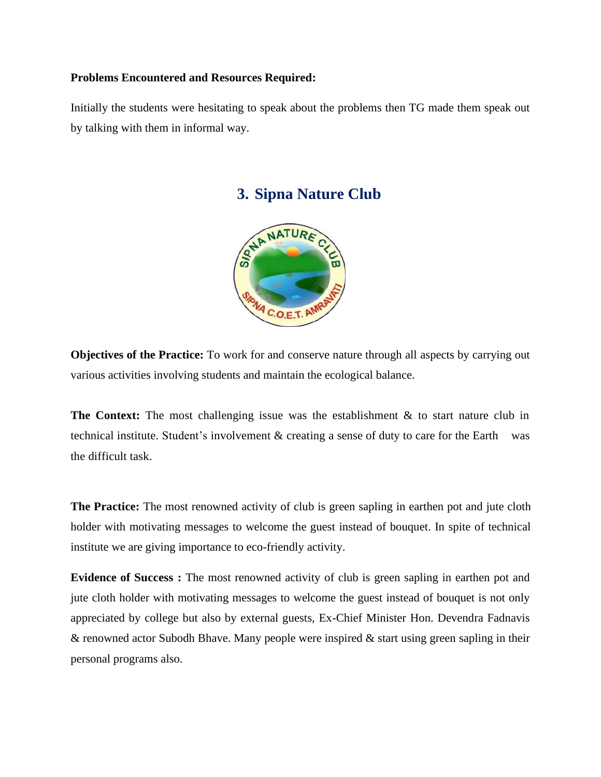### **Problems Encountered and Resources Required:**

Initially the students were hesitating to speak about the problems then TG made them speak out by talking with them in informal way.



## **3. Sipna Nature Club**

**Objectives of the Practice:** To work for and conserve nature through all aspects by carrying out various activities involving students and maintain the ecological balance.

**The Context:** The most challenging issue was the establishment & to start nature club in technical institute. Student's involvement & creating a sense of duty to care for the Earthwas the difficult task.

**The Practice:** The most renowned activity of club is green sapling in earthen pot and jute cloth holder with motivating messages to welcome the guest instead of bouquet. In spite of technical institute we are giving importance to eco-friendly activity.

**Evidence of Success :** The most renowned activity of club is green sapling in earthen pot and jute cloth holder with motivating messages to welcome the guest instead of bouquet is not only appreciated by college but also by external guests, Ex-Chief Minister Hon. Devendra Fadnavis & renowned actor Subodh Bhave. Many people were inspired & start using green sapling in their personal programs also.